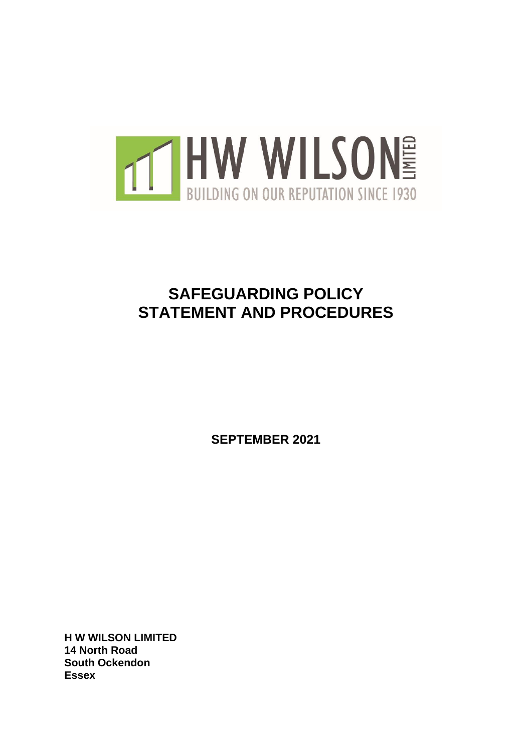

# **SAFEGUARDING POLICY STATEMENT AND PROCEDURES**

**SEPTEMBER 2021**

**H W WILSON LIMITED 14 North Road South Ockendon Essex**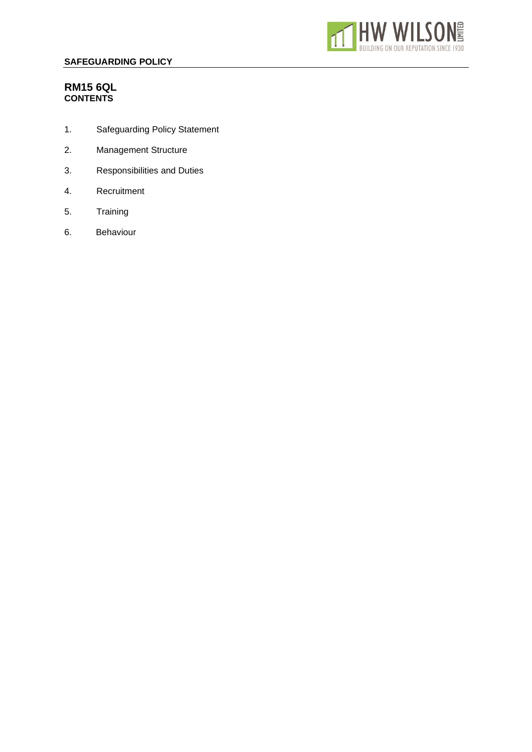

# **RM15 6QL CONTENTS**

- 1. Safeguarding Policy Statement
- 2. Management Structure
- 3. Responsibilities and Duties
- 4. Recruitment
- 5. Training
- 6. Behaviour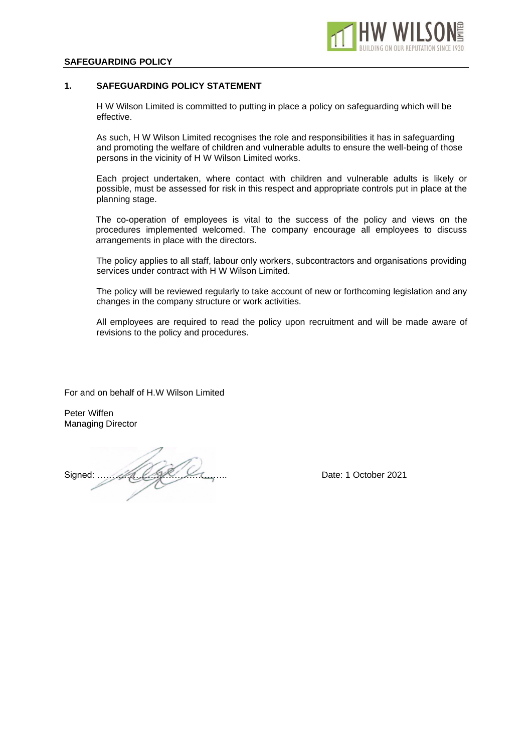

## **1. SAFEGUARDING POLICY STATEMENT**

H W Wilson Limited is committed to putting in place a policy on safeguarding which will be effective.

As such, H W Wilson Limited recognises the role and responsibilities it has in safeguarding and promoting the welfare of children and vulnerable adults to ensure the well-being of those persons in the vicinity of H W Wilson Limited works.

Each project undertaken, where contact with children and vulnerable adults is likely or possible, must be assessed for risk in this respect and appropriate controls put in place at the planning stage.

The co-operation of employees is vital to the success of the policy and views on the procedures implemented welcomed. The company encourage all employees to discuss arrangements in place with the directors.

The policy applies to all staff, labour only workers, subcontractors and organisations providing services under contract with H W Wilson Limited.

The policy will be reviewed regularly to take account of new or forthcoming legislation and any changes in the company structure or work activities.

All employees are required to read the policy upon recruitment and will be made aware of revisions to the policy and procedures.

For and on behalf of H.W Wilson Limited

Peter Wiffen Managing Director

Signed: …………………………………….. Date: 1 October 2021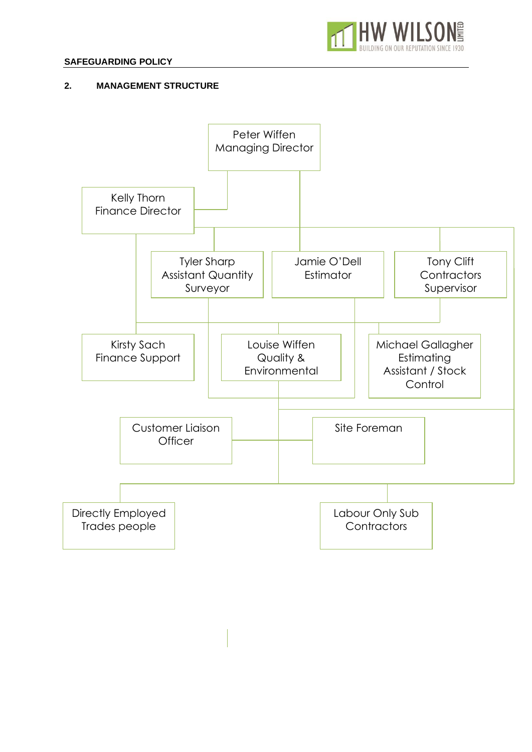

# **2. MANAGEMENT STRUCTURE**

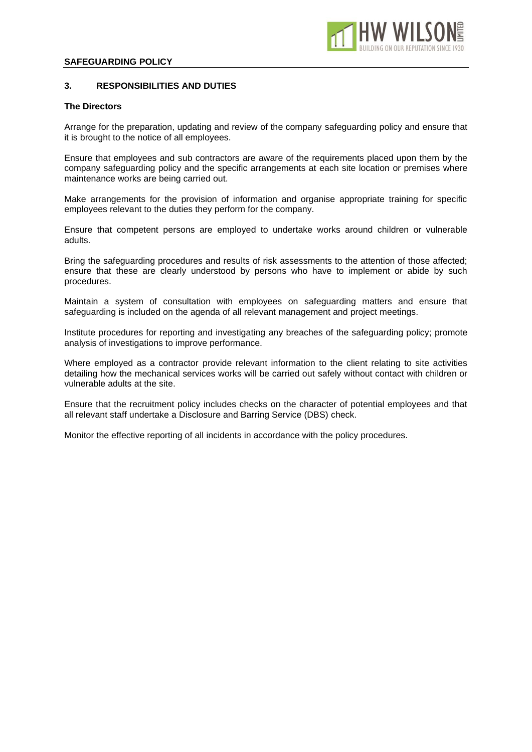

## **3. RESPONSIBILITIES AND DUTIES**

#### **The Directors**

Arrange for the preparation, updating and review of the company safeguarding policy and ensure that it is brought to the notice of all employees.

Ensure that employees and sub contractors are aware of the requirements placed upon them by the company safeguarding policy and the specific arrangements at each site location or premises where maintenance works are being carried out.

Make arrangements for the provision of information and organise appropriate training for specific employees relevant to the duties they perform for the company.

Ensure that competent persons are employed to undertake works around children or vulnerable adults.

Bring the safeguarding procedures and results of risk assessments to the attention of those affected; ensure that these are clearly understood by persons who have to implement or abide by such procedures.

Maintain a system of consultation with employees on safeguarding matters and ensure that safeguarding is included on the agenda of all relevant management and project meetings.

Institute procedures for reporting and investigating any breaches of the safeguarding policy; promote analysis of investigations to improve performance.

Where employed as a contractor provide relevant information to the client relating to site activities detailing how the mechanical services works will be carried out safely without contact with children or vulnerable adults at the site.

Ensure that the recruitment policy includes checks on the character of potential employees and that all relevant staff undertake a Disclosure and Barring Service (DBS) check.

Monitor the effective reporting of all incidents in accordance with the policy procedures.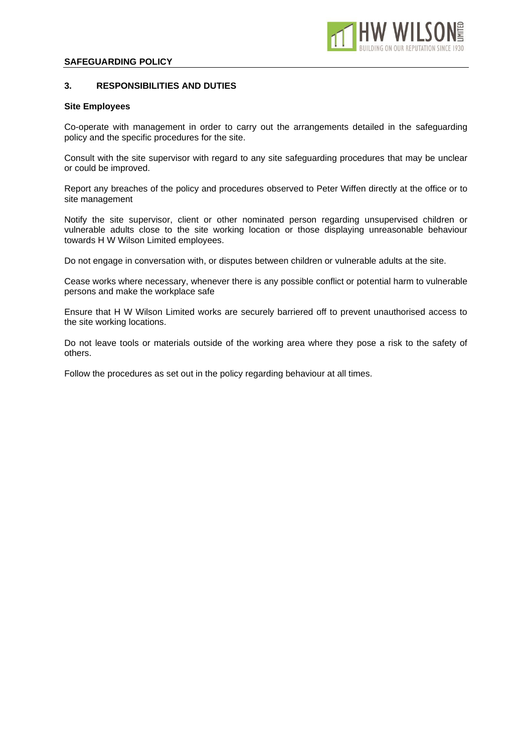

## **3. RESPONSIBILITIES AND DUTIES**

#### **Site Employees**

Co-operate with management in order to carry out the arrangements detailed in the safeguarding policy and the specific procedures for the site.

Consult with the site supervisor with regard to any site safeguarding procedures that may be unclear or could be improved.

Report any breaches of the policy and procedures observed to Peter Wiffen directly at the office or to site management

Notify the site supervisor, client or other nominated person regarding unsupervised children or vulnerable adults close to the site working location or those displaying unreasonable behaviour towards H W Wilson Limited employees.

Do not engage in conversation with, or disputes between children or vulnerable adults at the site.

Cease works where necessary, whenever there is any possible conflict or potential harm to vulnerable persons and make the workplace safe

Ensure that H W Wilson Limited works are securely barriered off to prevent unauthorised access to the site working locations.

Do not leave tools or materials outside of the working area where they pose a risk to the safety of others.

Follow the procedures as set out in the policy regarding behaviour at all times.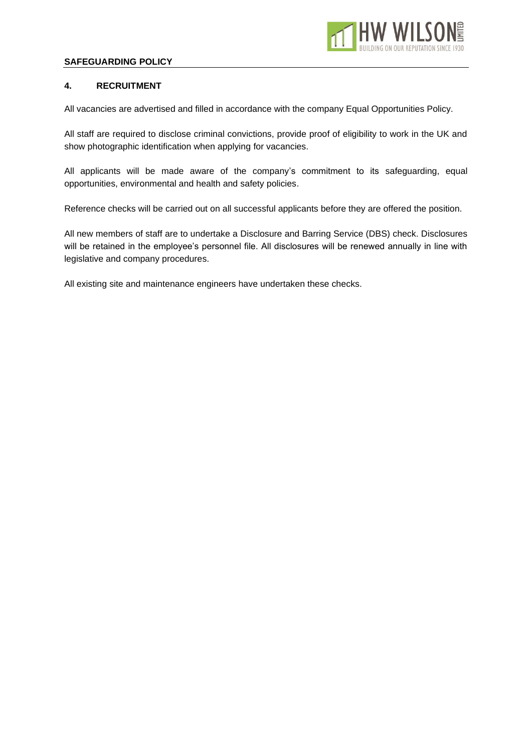

## **4. RECRUITMENT**

All vacancies are advertised and filled in accordance with the company Equal Opportunities Policy.

All staff are required to disclose criminal convictions, provide proof of eligibility to work in the UK and show photographic identification when applying for vacancies.

All applicants will be made aware of the company's commitment to its safeguarding, equal opportunities, environmental and health and safety policies.

Reference checks will be carried out on all successful applicants before they are offered the position.

All new members of staff are to undertake a Disclosure and Barring Service (DBS) check. Disclosures will be retained in the employee's personnel file. All disclosures will be renewed annually in line with legislative and company procedures.

All existing site and maintenance engineers have undertaken these checks.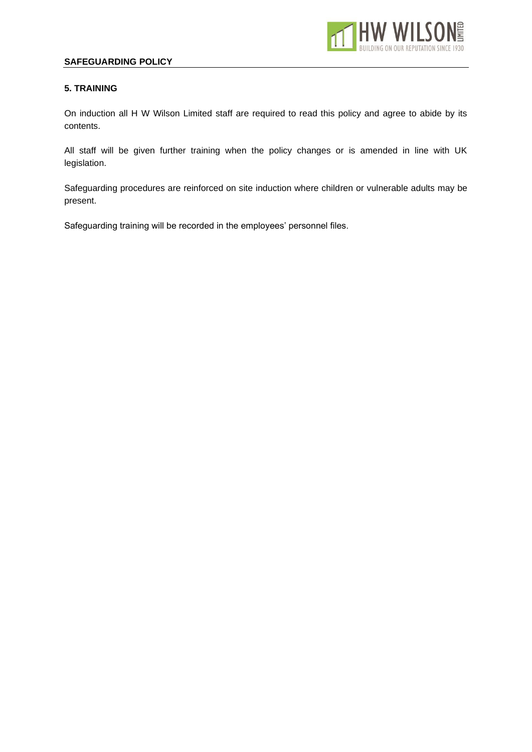

## **5. TRAINING**

On induction all H W Wilson Limited staff are required to read this policy and agree to abide by its contents.

All staff will be given further training when the policy changes or is amended in line with UK legislation.

Safeguarding procedures are reinforced on site induction where children or vulnerable adults may be present.

Safeguarding training will be recorded in the employees' personnel files.